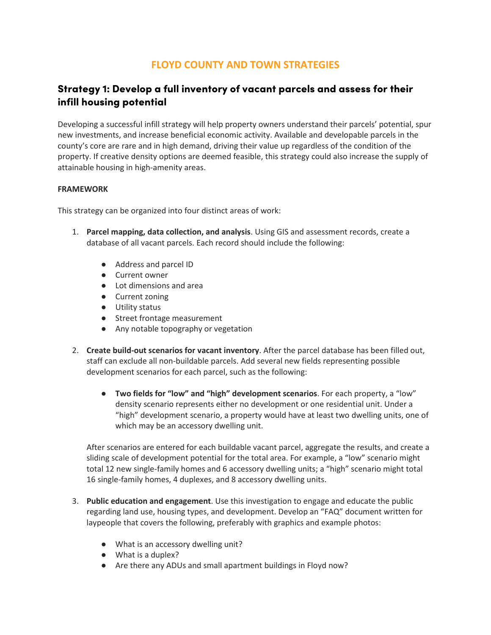# **FLOYD COUNTY AND TOWN STRATEGIES**

# Strategy 1: Develop a full inventory of vacant parcels and assess for their infill housing potential

Developing a successful infill strategy will help property owners understand their parcels' potential, spur new investments, and increase beneficial economic activity. Available and developable parcels in the county's core are rare and in high demand, driving their value up regardless of the condition of the property. If creative density options are deemed feasible, this strategy could also increase the supply of attainable housing in high-amenity areas.

### **FRAMEWORK**

This strategy can be organized into four distinct areas of work:

- 1. **Parcel mapping, data collection, and analysis**. Using GIS and assessment records, create a database of all vacant parcels. Each record should include the following:
	- Address and parcel ID
	- Current owner
	- Lot dimensions and area
	- Current zoning
	- Utility status
	- Street frontage measurement
	- Any notable topography or vegetation
- 2. **Create build-out scenarios for vacant inventory**. After the parcel database has been filled out, staff can exclude all non-buildable parcels. Add several new fields representing possible development scenarios for each parcel, such as the following:
	- **Two fields for "low" and "high" development scenarios**. For each property, a "low" density scenario represents either no development or one residential unit. Under a "high" development scenario, a property would have at least two dwelling units, one of which may be an accessory dwelling unit.

After scenarios are entered for each buildable vacant parcel, aggregate the results, and create a sliding scale of development potential for the total area. For example, a "low" scenario might total 12 new single-family homes and 6 accessory dwelling units; a "high" scenario might total 16 single-family homes, 4 duplexes, and 8 accessory dwelling units.

- 3. **Public education and engagement**. Use this investigation to engage and educate the public regarding land use, housing types, and development. Develop an "FAQ" document written for laypeople that covers the following, preferably with graphics and example photos:
	- What is an accessory dwelling unit?
	- What is a duplex?
	- Are there any ADUs and small apartment buildings in Floyd now?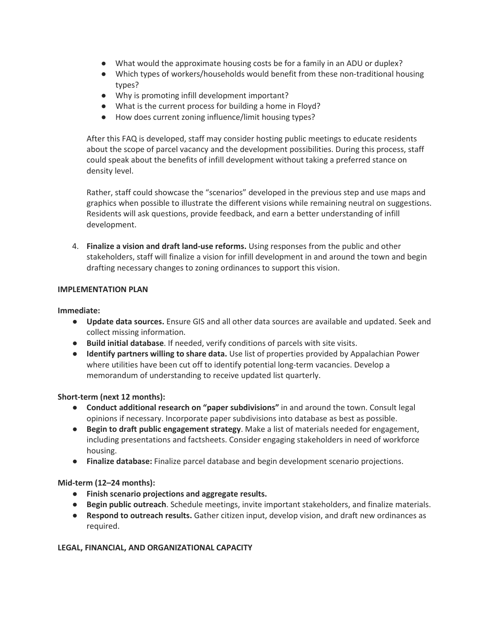- What would the approximate housing costs be for a family in an ADU or duplex?
- Which types of workers/households would benefit from these non-traditional housing types?
- Why is promoting infill development important?
- What is the current process for building a home in Floyd?
- How does current zoning influence/limit housing types?

After this FAQ is developed, staff may consider hosting public meetings to educate residents about the scope of parcel vacancy and the development possibilities. During this process, staff could speak about the benefits of infill development without taking a preferred stance on density level.

Rather, staff could showcase the "scenarios" developed in the previous step and use maps and graphics when possible to illustrate the different visions while remaining neutral on suggestions. Residents will ask questions, provide feedback, and earn a better understanding of infill development.

4. **Finalize a vision and draft land-use reforms.** Using responses from the public and other stakeholders, staff will finalize a vision for infill development in and around the town and begin drafting necessary changes to zoning ordinances to support this vision.

## **IMPLEMENTATION PLAN**

## **Immediate:**

- **Update data sources.** Ensure GIS and all other data sources are available and updated. Seek and collect missing information.
- **Build initial database**. If needed, verify conditions of parcels with site visits.
- **Identify partners willing to share data.** Use list of properties provided by Appalachian Power where utilities have been cut off to identify potential long-term vacancies. Develop a memorandum of understanding to receive updated list quarterly.

## **Short-term (next 12 months):**

- **Conduct additional research on "paper subdivisions"** in and around the town. Consult legal opinions if necessary. Incorporate paper subdivisions into database as best as possible.
- **Begin to draft public engagement strategy**. Make a list of materials needed for engagement, including presentations and factsheets. Consider engaging stakeholders in need of workforce housing.
- **Finalize database:** Finalize parcel database and begin development scenario projections.

## **Mid-term (12–24 months):**

- **Finish scenario projections and aggregate results.**
- **Begin public outreach**. Schedule meetings, invite important stakeholders, and finalize materials.
- **Respond to outreach results.** Gather citizen input, develop vision, and draft new ordinances as required.

## **LEGAL, FINANCIAL, AND ORGANIZATIONAL CAPACITY**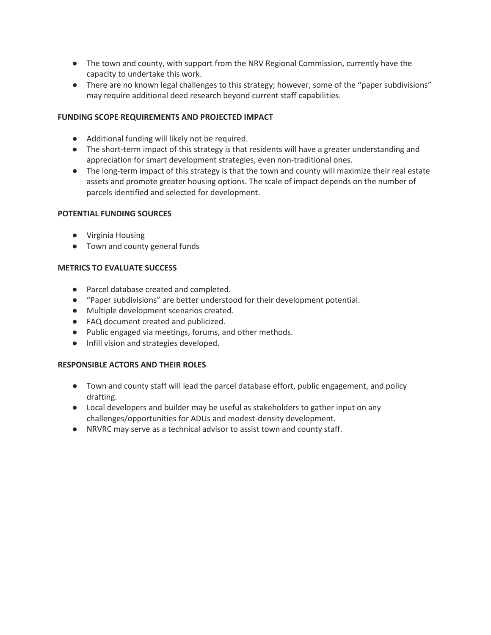- The town and county, with support from the NRV Regional Commission, currently have the capacity to undertake this work.
- There are no known legal challenges to this strategy; however, some of the "paper subdivisions" may require additional deed research beyond current staff capabilities.

## **FUNDING SCOPE REQUIREMENTS AND PROJECTED IMPACT**

- Additional funding will likely not be required.
- The short-term impact of this strategy is that residents will have a greater understanding and appreciation for smart development strategies, even non-traditional ones.
- The long-term impact of this strategy is that the town and county will maximize their real estate assets and promote greater housing options. The scale of impact depends on the number of parcels identified and selected for development.

### **POTENTIAL FUNDING SOURCES**

- Virginia Housing
- Town and county general funds

### **METRICS TO EVALUATE SUCCESS**

- Parcel database created and completed.
- "Paper subdivisions" are better understood for their development potential.
- Multiple development scenarios created.
- FAQ document created and publicized.
- Public engaged via meetings, forums, and other methods.
- Infill vision and strategies developed.

### **RESPONSIBLE ACTORS AND THEIR ROLES**

- Town and county staff will lead the parcel database effort, public engagement, and policy drafting.
- Local developers and builder may be useful as stakeholders to gather input on any challenges/opportunities for ADUs and modest-density development.
- NRVRC may serve as a technical advisor to assist town and county staff.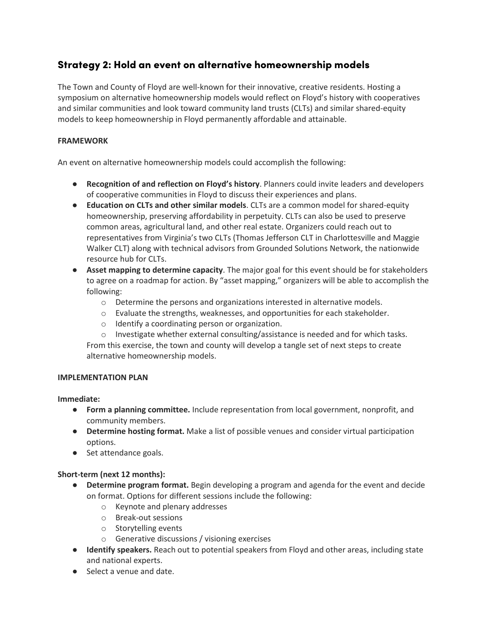# Strategy 2: Hold an event on alternative homeownership models

The Town and County of Floyd are well-known for their innovative, creative residents. Hosting a symposium on alternative homeownership models would reflect on Floyd's history with cooperatives and similar communities and look toward community land trusts (CLTs) and similar shared-equity models to keep homeownership in Floyd permanently affordable and attainable.

## **FRAMEWORK**

An event on alternative homeownership models could accomplish the following:

- **Recognition of and reflection on Floyd's history**. Planners could invite leaders and developers of cooperative communities in Floyd to discuss their experiences and plans.
- **Education on CLTs and other similar models**. CLTs are a common model for shared-equity homeownership, preserving affordability in perpetuity. CLTs can also be used to preserve common areas, agricultural land, and other real estate. Organizers could reach out to representatives from Virginia's two CLTs (Thomas Jefferson CLT in Charlottesville and Maggie Walker CLT) along with technical advisors from Grounded Solutions Network, the nationwide resource hub for CLTs.
- **Asset mapping to determine capacity**. The major goal for this event should be for stakeholders to agree on a roadmap for action. By "asset mapping," organizers will be able to accomplish the following:
	- $\circ$  Determine the persons and organizations interested in alternative models.
	- o Evaluate the strengths, weaknesses, and opportunities for each stakeholder.
	- o Identify a coordinating person or organization.
	- $\circ$  Investigate whether external consulting/assistance is needed and for which tasks.

From this exercise, the town and county will develop a tangle set of next steps to create alternative homeownership models.

### **IMPLEMENTATION PLAN**

**Immediate:**

- **Form a planning committee.** Include representation from local government, nonprofit, and community members.
- **Determine hosting format.** Make a list of possible venues and consider virtual participation options.
- Set attendance goals.

## **Short-term (next 12 months):**

- **Determine program format.** Begin developing a program and agenda for the event and decide on format. Options for different sessions include the following:
	- o Keynote and plenary addresses
	- o Break-out sessions
	- o Storytelling events
	- o Generative discussions / visioning exercises
- **Identify speakers.** Reach out to potential speakers from Floyd and other areas, including state and national experts.
- Select a venue and date.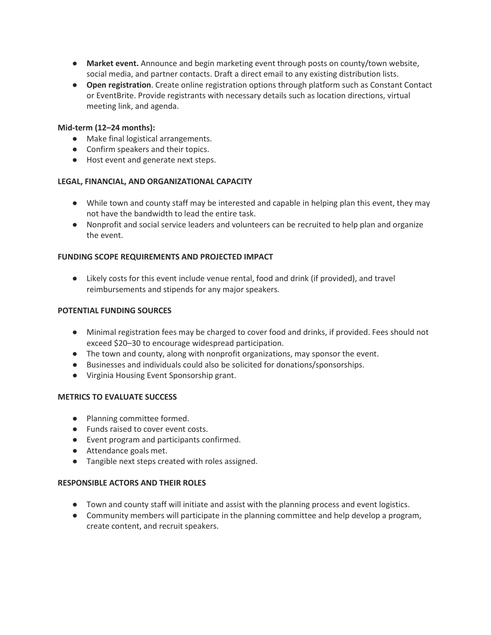- **Market event.** Announce and begin marketing event through posts on county/town website, social media, and partner contacts. Draft a direct email to any existing distribution lists.
- **Open registration**. Create online registration options through platform such as Constant Contact or EventBrite. Provide registrants with necessary details such as location directions, virtual meeting link, and agenda.

## **Mid-term (12–24 months):**

- Make final logistical arrangements.
- Confirm speakers and their topics.
- Host event and generate next steps.

## **LEGAL, FINANCIAL, AND ORGANIZATIONAL CAPACITY**

- While town and county staff may be interested and capable in helping plan this event, they may not have the bandwidth to lead the entire task.
- Nonprofit and social service leaders and volunteers can be recruited to help plan and organize the event.

## **FUNDING SCOPE REQUIREMENTS AND PROJECTED IMPACT**

● Likely costs for this event include venue rental, food and drink (if provided), and travel reimbursements and stipends for any major speakers.

### **POTENTIAL FUNDING SOURCES**

- Minimal registration fees may be charged to cover food and drinks, if provided. Fees should not exceed \$20–30 to encourage widespread participation.
- The town and county, along with nonprofit organizations, may sponsor the event.
- Businesses and individuals could also be solicited for donations/sponsorships.
- Virginia Housing Event Sponsorship grant.

### **METRICS TO EVALUATE SUCCESS**

- Planning committee formed.
- Funds raised to cover event costs.
- Event program and participants confirmed.
- Attendance goals met.
- Tangible next steps created with roles assigned.

### **RESPONSIBLE ACTORS AND THEIR ROLES**

- Town and county staff will initiate and assist with the planning process and event logistics.
- Community members will participate in the planning committee and help develop a program, create content, and recruit speakers.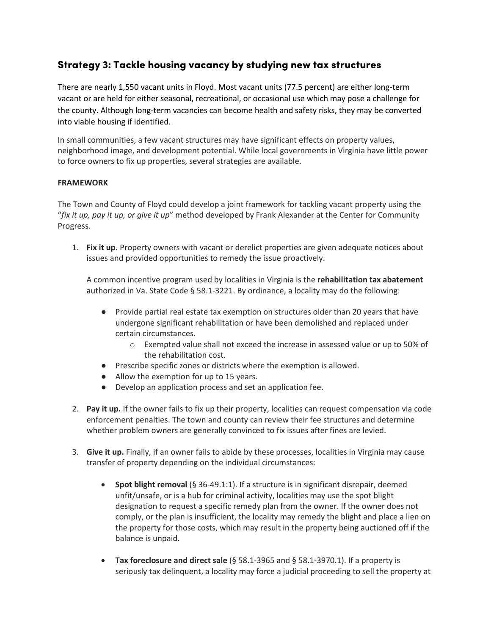# Strategy 3: Tackle housing vacancy by studying new tax structures

There are nearly 1,550 vacant units in Floyd. Most vacant units (77.5 percent) are either long-term vacant or are held for either seasonal, recreational, or occasional use which may pose a challenge for the county. Although long-term vacancies can become health and safety risks, they may be converted into viable housing if identified.

In small communities, a few vacant structures may have significant effects on property values, neighborhood image, and development potential. While local governments in Virginia have little power to force owners to fix up properties, several strategies are available.

## **FRAMEWORK**

The Town and County of Floyd could develop a joint framework for tackling vacant property using the "*fix it up, pay it up, or give it up*" method developed by Frank Alexander at the Center for Community Progress.

1. **Fix it up.** Property owners with vacant or derelict properties are given adequate notices about issues and provided opportunities to remedy the issue proactively.

A common incentive program used by localities in Virginia is the **rehabilitation tax abatement**  authorized in Va. State Code § 58.1-3221. By ordinance, a locality may do the following:

- Provide partial real estate tax exemption on structures older than 20 years that have undergone significant rehabilitation or have been demolished and replaced under certain circumstances.
	- o Exempted value shall not exceed the increase in assessed value or up to 50% of the rehabilitation cost.
- Prescribe specific zones or districts where the exemption is allowed.
- Allow the exemption for up to 15 years.
- Develop an application process and set an application fee.
- 2. **Pay it up.** If the owner fails to fix up their property, localities can request compensation via code enforcement penalties. The town and county can review their fee structures and determine whether problem owners are generally convinced to fix issues after fines are levied.
- 3. **Give it up.** Finally, if an owner fails to abide by these processes, localities in Virginia may cause transfer of property depending on the individual circumstances:
	- **Spot blight removal** (§ 36-49.1:1). If a structure is in significant disrepair, deemed unfit/unsafe, or is a hub for criminal activity, localities may use the spot blight designation to request a specific remedy plan from the owner. If the owner does not comply, or the plan is insufficient, the locality may remedy the blight and place a lien on the property for those costs, which may result in the property being auctioned off if the balance is unpaid.
	- **Tax foreclosure and direct sale** (§ 58.1-3965 and § 58.1-3970.1). If a property is seriously tax delinquent, a locality may force a judicial proceeding to sell the property at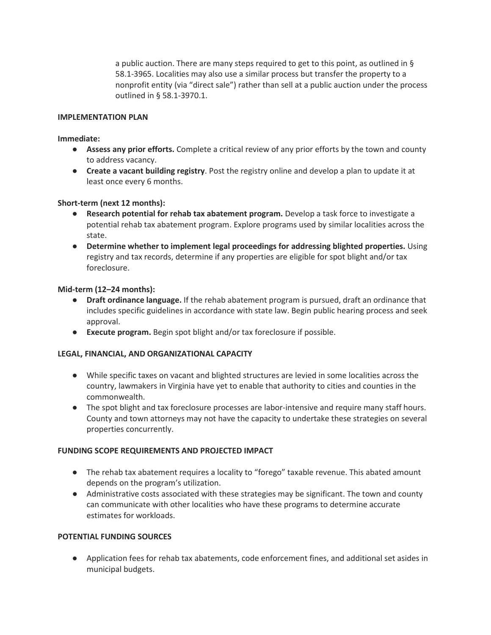a public auction. There are many steps required to get to this point, as outlined in § 58.1-3965. Localities may also use a similar process but transfer the property to a nonprofit entity (via "direct sale") rather than sell at a public auction under the process outlined in § 58.1-3970.1.

### **IMPLEMENTATION PLAN**

#### **Immediate:**

- **Assess any prior efforts.** Complete a critical review of any prior efforts by the town and county to address vacancy.
- **Create a vacant building registry**. Post the registry online and develop a plan to update it at least once every 6 months.

### **Short-term (next 12 months):**

- **Research potential for rehab tax abatement program.** Develop a task force to investigate a potential rehab tax abatement program. Explore programs used by similar localities across the state.
- **Determine whether to implement legal proceedings for addressing blighted properties.** Using registry and tax records, determine if any properties are eligible for spot blight and/or tax foreclosure.

#### **Mid-term (12–24 months):**

- **Draft ordinance language.** If the rehab abatement program is pursued, draft an ordinance that includes specific guidelines in accordance with state law. Begin public hearing process and seek approval.
- **Execute program.** Begin spot blight and/or tax foreclosure if possible.

### **LEGAL, FINANCIAL, AND ORGANIZATIONAL CAPACITY**

- While specific taxes on vacant and blighted structures are levied in some localities across the country, lawmakers in Virginia have yet to enable that authority to cities and counties in the commonwealth.
- The spot blight and tax foreclosure processes are labor-intensive and require many staff hours. County and town attorneys may not have the capacity to undertake these strategies on several properties concurrently.

#### **FUNDING SCOPE REQUIREMENTS AND PROJECTED IMPACT**

- The rehab tax abatement requires a locality to "forego" taxable revenue. This abated amount depends on the program's utilization.
- Administrative costs associated with these strategies may be significant. The town and county can communicate with other localities who have these programs to determine accurate estimates for workloads.

### **POTENTIAL FUNDING SOURCES**

● Application fees for rehab tax abatements, code enforcement fines, and additional set asides in municipal budgets.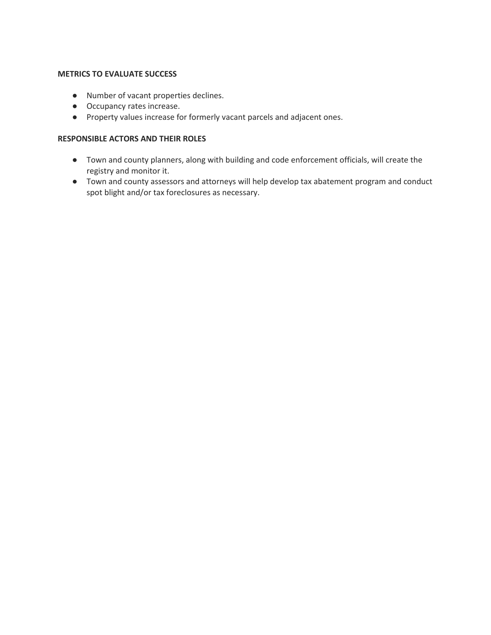### **METRICS TO EVALUATE SUCCESS**

- Number of vacant properties declines.
- Occupancy rates increase.
- Property values increase for formerly vacant parcels and adjacent ones.

### **RESPONSIBLE ACTORS AND THEIR ROLES**

- Town and county planners, along with building and code enforcement officials, will create the registry and monitor it.
- Town and county assessors and attorneys will help develop tax abatement program and conduct spot blight and/or tax foreclosures as necessary.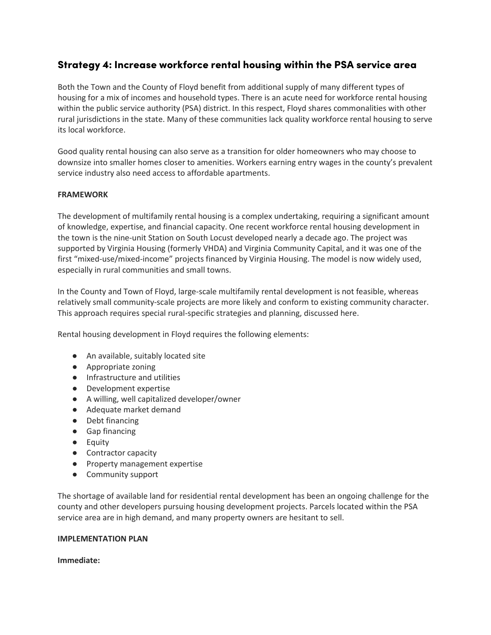# Strategy 4: Increase workforce rental housing within the PSA service area

Both the Town and the County of Floyd benefit from additional supply of many different types of housing for a mix of incomes and household types. There is an acute need for workforce rental housing within the public service authority (PSA) district. In this respect, Floyd shares commonalities with other rural jurisdictions in the state. Many of these communities lack quality workforce rental housing to serve its local workforce.

Good quality rental housing can also serve as a transition for older homeowners who may choose to downsize into smaller homes closer to amenities. Workers earning entry wages in the county's prevalent service industry also need access to affordable apartments.

### **FRAMEWORK**

The development of multifamily rental housing is a complex undertaking, requiring a significant amount of knowledge, expertise, and financial capacity. One recent workforce rental housing development in the town is the nine-unit Station on South Locust developed nearly a decade ago. The project was supported by Virginia Housing (formerly VHDA) and Virginia Community Capital, and it was one of the first "mixed-use/mixed-income" projects financed by Virginia Housing. The model is now widely used, especially in rural communities and small towns.

In the County and Town of Floyd, large-scale multifamily rental development is not feasible, whereas relatively small community-scale projects are more likely and conform to existing community character. This approach requires special rural-specific strategies and planning, discussed here.

Rental housing development in Floyd requires the following elements:

- An available, suitably located site
- Appropriate zoning
- Infrastructure and utilities
- Development expertise
- A willing, well capitalized developer/owner
- Adequate market demand
- Debt financing
- Gap financing
- Equity
- Contractor capacity
- Property management expertise
- Community support

The shortage of available land for residential rental development has been an ongoing challenge for the county and other developers pursuing housing development projects. Parcels located within the PSA service area are in high demand, and many property owners are hesitant to sell.

### **IMPLEMENTATION PLAN**

**Immediate:**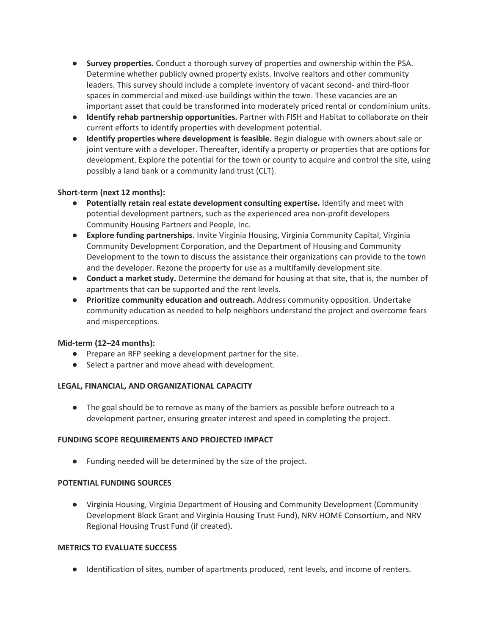- **Survey properties.** Conduct a thorough survey of properties and ownership within the PSA. Determine whether publicly owned property exists. Involve realtors and other community leaders. This survey should include a complete inventory of vacant second- and third-floor spaces in commercial and mixed-use buildings within the town. These vacancies are an important asset that could be transformed into moderately priced rental or condominium units.
- **Identify rehab partnership opportunities.** Partner with FISH and Habitat to collaborate on their current efforts to identify properties with development potential.
- **Identify properties where development is feasible.** Begin dialogue with owners about sale or joint venture with a developer. Thereafter, identify a property or properties that are options for development. Explore the potential for the town or county to acquire and control the site, using possibly a land bank or a community land trust (CLT).

## **Short-term (next 12 months):**

- **Potentially retain real estate development consulting expertise.** Identify and meet with potential development partners, such as the experienced area non-profit developers Community Housing Partners and People, Inc.
- **Explore funding partnerships.** Invite Virginia Housing, Virginia Community Capital, Virginia Community Development Corporation, and the Department of Housing and Community Development to the town to discuss the assistance their organizations can provide to the town and the developer. Rezone the property for use as a multifamily development site.
- **Conduct a market study.** Determine the demand for housing at that site, that is, the number of apartments that can be supported and the rent levels.
- **Prioritize community education and outreach.** Address community opposition. Undertake community education as needed to help neighbors understand the project and overcome fears and misperceptions.

### **Mid-term (12–24 months):**

- Prepare an RFP seeking a development partner for the site.
- Select a partner and move ahead with development.

### **LEGAL, FINANCIAL, AND ORGANIZATIONAL CAPACITY**

● The goal should be to remove as many of the barriers as possible before outreach to a development partner, ensuring greater interest and speed in completing the project.

### **FUNDING SCOPE REQUIREMENTS AND PROJECTED IMPACT**

● Funding needed will be determined by the size of the project.

### **POTENTIAL FUNDING SOURCES**

● Virginia Housing, Virginia Department of Housing and Community Development (Community Development Block Grant and Virginia Housing Trust Fund), NRV HOME Consortium, and NRV Regional Housing Trust Fund (if created).

### **METRICS TO EVALUATE SUCCESS**

● Identification of sites, number of apartments produced, rent levels, and income of renters.